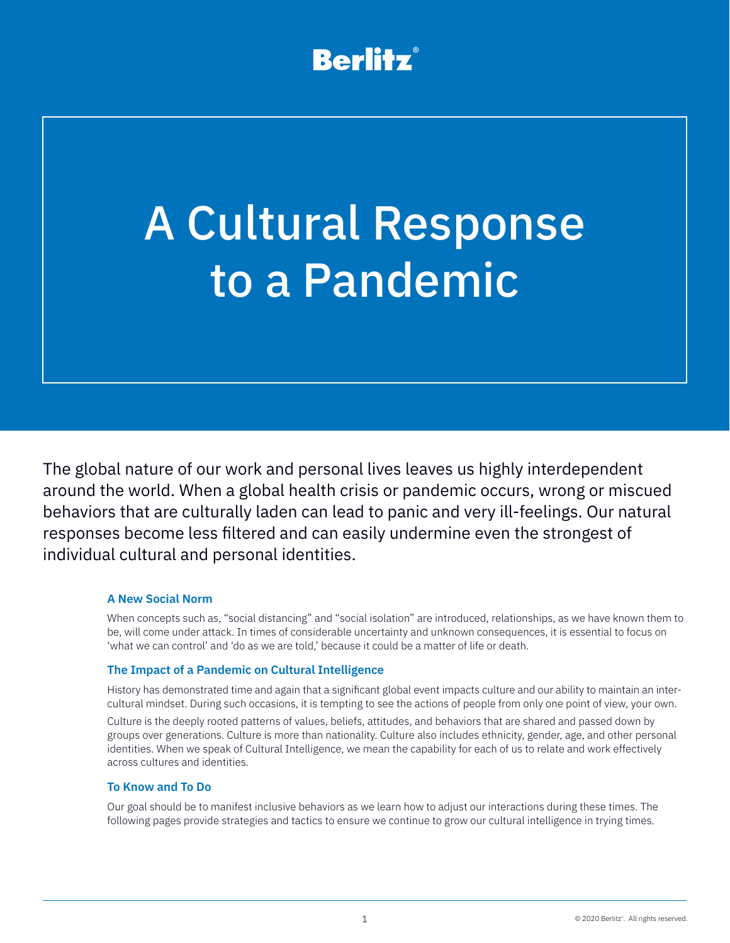# **Berlitz®**

# A Cultural Response to a Pandemic

The global nature of our work and personal lives leaves us highly interdependent around the world. When a global health crisis or pandemic occurs, wrong or miscued behaviors that are culturally laden can lead to panic and very ill-feelings. Our natural responses become less filtered and can easily undermine even the strongest of individual cultural and personal identities.

### **A New Social Norm**

When concepts such as, "social distancing" and "social isolation" are introduced, relationships, as we have known them to be, will come under attack. In times of considerable uncertainty and unknown consequences, it is essential to focus on 'what we can control' and 'do as we are told,' because it could be a matter of life or death.

### **The Impact of a Pandemic on Cultural Intelligence**

History has demonstrated time and again that a significant global event impacts culture and our ability to maintain an intercultural mindset. During such occasions, it is tempting to see the actions of people from only one point of view, your own.

Culture is the deeply rooted patterns of values, beliefs, attitudes, and behaviors that are shared and passed down by groups over generations. Culture is more than nationality. Culture also includes ethnicity, gender, age, and other personal identities. When we speak of Cultural Intelligence, we mean the capability for each of us to relate and work effectively across cultures and identities.

### **To Know and To Do**

Our goal should be to manifest inclusive behaviors as we learn how to adjust our interactions during these times. The following pages provide strategies and tactics to ensure we continue to grow our cultural intelligence in trying times.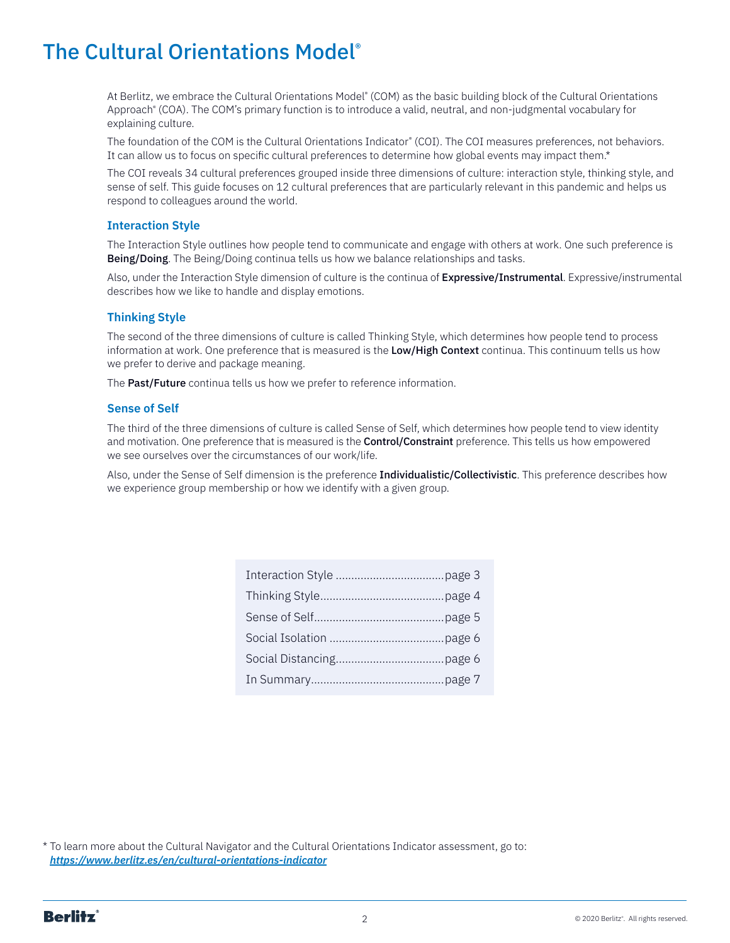# The Cultural Orientations Model®

At Berlitz, we embrace the Cultural Orientations Model® (COM) as the basic building block of the Cultural Orientations Approach® (COA). The COM's primary function is to introduce a valid, neutral, and non-judgmental vocabulary for explaining culture.

The foundation of the COM is the Cultural Orientations Indicator® (COI). The COI measures preferences, not behaviors. It can allow us to focus on specific cultural preferences to determine how global events may impact them.\*

The COI reveals 34 cultural preferences grouped inside three dimensions of culture: interaction style, thinking style, and sense of self. This guide focuses on 12 cultural preferences that are particularly relevant in this pandemic and helps us respond to colleagues around the world.

### **Interaction Style**

The Interaction Style outlines how people tend to communicate and engage with others at work. One such preference is Being/Doing. The Being/Doing continua tells us how we balance relationships and tasks.

Also, under the Interaction Style dimension of culture is the continua of Expressive/Instrumental. Expressive/instrumental describes how we like to handle and display emotions.

### **Thinking Style**

The second of the three dimensions of culture is called Thinking Style, which determines how people tend to process information at work. One preference that is measured is the Low/High Context continua. This continuum tells us how we prefer to derive and package meaning.

The Past/Future continua tells us how we prefer to reference information.

### **Sense of Self**

The third of the three dimensions of culture is called Sense of Self, which determines how people tend to view identity and motivation. One preference that is measured is the **Control/Constraint** preference. This tells us how empowered we see ourselves over the circumstances of our work/life.

Also, under the Sense of Self dimension is the preference Individualistic/Collectivistic. This preference describes how we experience group membership or how we identify with a given group.

\* To learn more about the Cultural Navigator and the Cultural Orientations Indicator assessment, go to: *<https://www.berlitz.es/en/cultural-orientations-indicator>*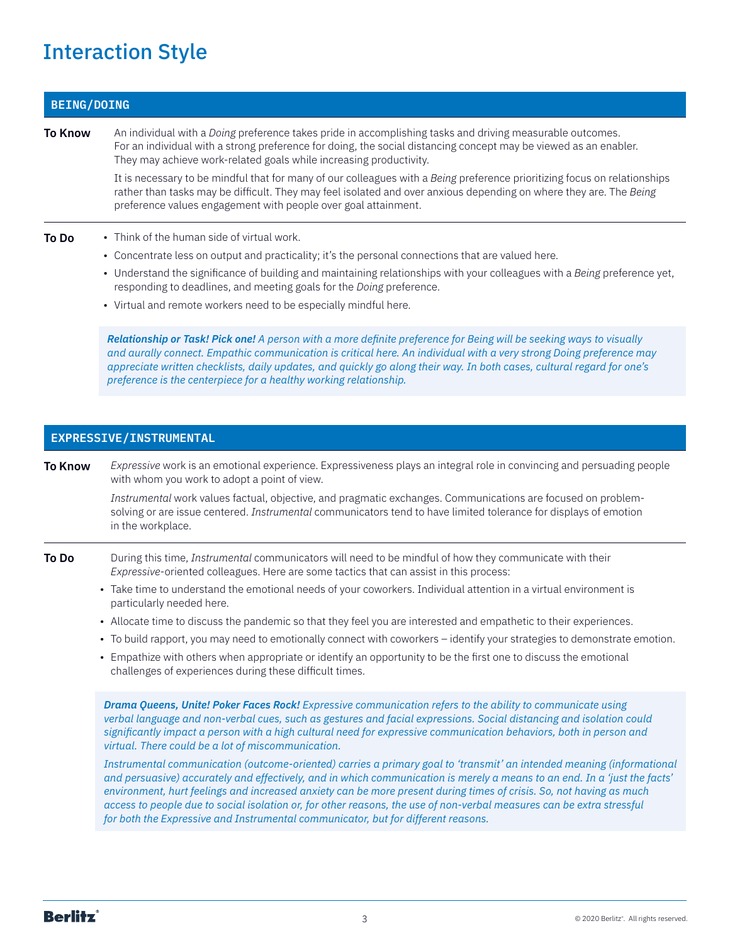# <span id="page-2-0"></span>Interaction Style

## **BEING/DOING**

**To Know** An individual with a *Doing* preference takes pride in accomplishing tasks and driving measurable outcomes. For an individual with a strong preference for doing, the social distancing concept may be viewed as an enabler. They may achieve work-related goals while increasing productivity.

> It is necessary to be mindful that for many of our colleagues with a *Being* preference prioritizing focus on relationships rather than tasks may be difficult. They may feel isolated and over anxious depending on where they are. The *Being* preference values engagement with people over goal attainment.

- **To Do** Think of the human side of virtual work.
	- Concentrate less on output and practicality; it's the personal connections that are valued here.
	- Understand the significance of building and maintaining relationships with your colleagues with a *Being* preference yet, responding to deadlines, and meeting goals for the *Doing* preference.
	- Virtual and remote workers need to be especially mindful here.

*Relationship or Task! Pick one! A person with a more definite preference for Being will be seeking ways to visually*  and aurally connect. Empathic communication is critical here. An individual with a very strong Doing preference may *appreciate written checklists, daily updates, and quickly go along their way. In both cases, cultural regard for one's preference is the centerpiece for a healthy working relationship.*

### **EXPRESSIVE/INSTRUMENTAL**

**To Know** *Expressive* work is an emotional experience. Expressiveness plays an integral role in convincing and persuading people with whom you work to adopt a point of view.

> *Instrumental* work values factual, objective, and pragmatic exchanges. Communications are focused on problemsolving or are issue centered. *Instrumental* communicators tend to have limited tolerance for displays of emotion in the workplace.

- **To Do** During this time, *Instrumental* communicators will need to be mindful of how they communicate with their *Expressive*-oriented colleagues. Here are some tactics that can assist in this process:
	- Take time to understand the emotional needs of your coworkers. Individual attention in a virtual environment is particularly needed here.
	- Allocate time to discuss the pandemic so that they feel you are interested and empathetic to their experiences.
	- To build rapport, you may need to emotionally connect with coworkers identify your strategies to demonstrate emotion.
	- Empathize with others when appropriate or identify an opportunity to be the first one to discuss the emotional challenges of experiences during these difficult times.

*Drama Queens, Unite! Poker Faces Rock! Expressive communication refers to the ability to communicate using verbal language and non-verbal cues, such as gestures and facial expressions. Social distancing and isolation could significantly impact a person with a high cultural need for expressive communication behaviors, both in person and virtual. There could be a lot of miscommunication.*

*Instrumental communication (outcome-oriented) carries a primary goal to 'transmit' an intended meaning (informational and persuasive) accurately and effectively, and in which communication is merely a means to an end. In a 'just the facts' environment, hurt feelings and increased anxiety can be more present during times of crisis. So, not having as much access to people due to social isolation or, for other reasons, the use of non-verbal measures can be extra stressful for both the Expressive and Instrumental communicator, but for different reasons.*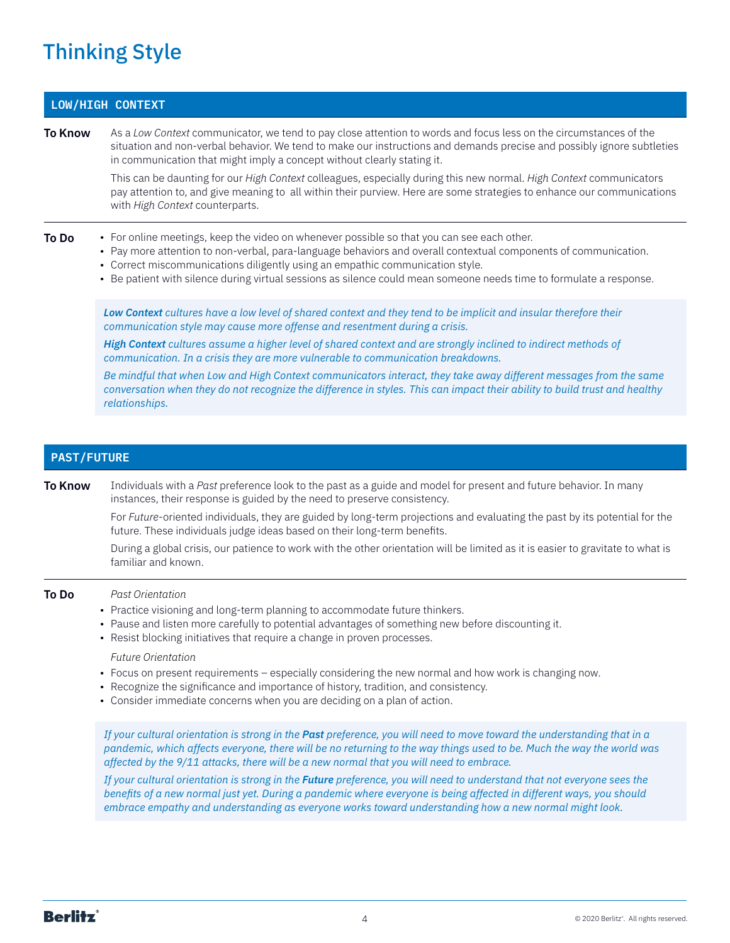# <span id="page-3-0"></span>Thinking Style

# **LOW/HIGH CONTEXT**

**To Know** As a *Low Context* communicator, we tend to pay close attention to words and focus less on the circumstances of the situation and non-verbal behavior. We tend to make our instructions and demands precise and possibly ignore subtleties in communication that might imply a concept without clearly stating it.

> This can be daunting for our *High Context* colleagues, especially during this new normal. *High Context* communicators pay attention to, and give meaning to all within their purview. Here are some strategies to enhance our communications with *High Context* counterparts.

#### **To Do** • For online meetings, keep the video on whenever possible so that you can see each other.

- Pay more attention to non-verbal, para-language behaviors and overall contextual components of communication.
- Correct miscommunications diligently using an empathic communication style.
- Be patient with silence during virtual sessions as silence could mean someone needs time to formulate a response.

*Low Context cultures have a low level of shared context and they tend to be implicit and insular therefore their communication style may cause more offense and resentment during a crisis.*

*High Context cultures assume a higher level of shared context and are strongly inclined to indirect methods of communication. In a crisis they are more vulnerable to communication breakdowns.* 

*Be mindful that when Low and High Context communicators interact, they take away different messages from the same conversation when they do not recognize the difference in styles. This can impact their ability to build trust and healthy relationships.*

### **PAST/FUTURE**

**To Know** Individuals with a *Past* preference look to the past as a guide and model for present and future behavior. In many instances, their response is guided by the need to preserve consistency.

> For *Future*-oriented individuals, they are guided by long-term projections and evaluating the past by its potential for the future. These individuals judge ideas based on their long-term benefits.

> During a global crisis, our patience to work with the other orientation will be limited as it is easier to gravitate to what is familiar and known.

#### **To Do** *Past Orientation*

- Practice visioning and long-term planning to accommodate future thinkers.
- Pause and listen more carefully to potential advantages of something new before discounting it.
- Resist blocking initiatives that require a change in proven processes.

#### *Future Orientation*

- Focus on present requirements especially considering the new normal and how work is changing now.
- Recognize the significance and importance of history, tradition, and consistency.
- Consider immediate concerns when you are deciding on a plan of action.

*If your cultural orientation is strong in the Past preference, you will need to move toward the understanding that in a pandemic, which affects everyone, there will be no returning to the way things used to be. Much the way the world was affected by the 9/11 attacks, there will be a new normal that you will need to embrace.*

*If your cultural orientation is strong in the Future preference, you will need to understand that not everyone sees the benefits of a new normal just yet. During a pandemic where everyone is being affected in different ways, you should embrace empathy and understanding as everyone works toward understanding how a new normal might look.*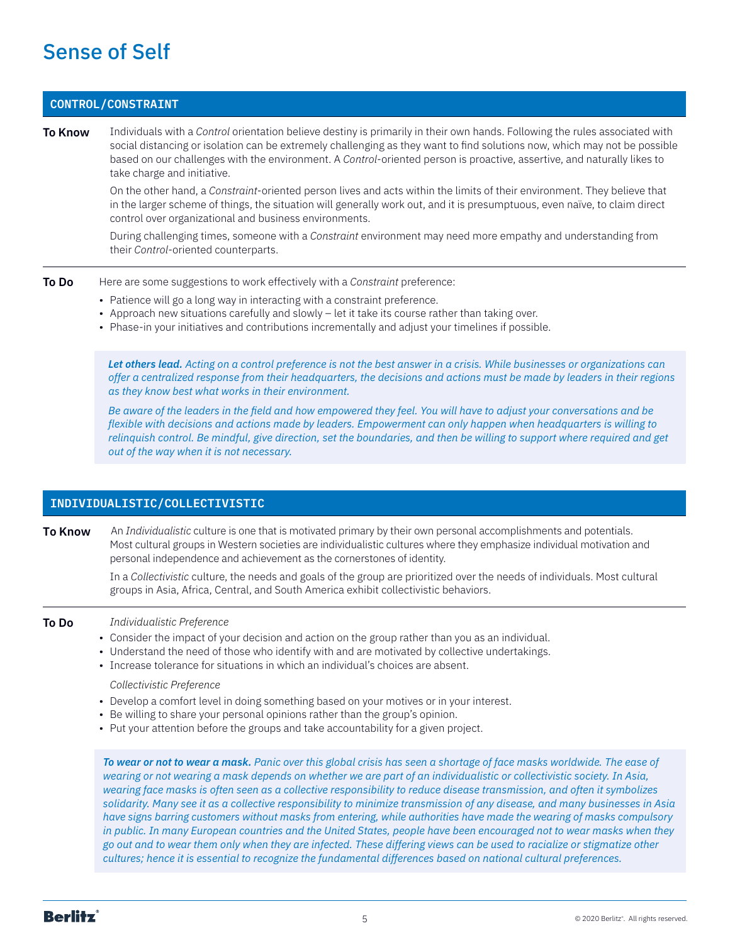# <span id="page-4-0"></span>Sense of Self

### **CONTROL/CONSTRAINT**

**To Know** Individuals with a *Control* orientation believe destiny is primarily in their own hands. Following the rules associated with social distancing or isolation can be extremely challenging as they want to find solutions now, which may not be possible based on our challenges with the environment. A *Control*-oriented person is proactive, assertive, and naturally likes to take charge and initiative.

> On the other hand, a *Constraint*-oriented person lives and acts within the limits of their environment. They believe that in the larger scheme of things, the situation will generally work out, and it is presumptuous, even naïve, to claim direct control over organizational and business environments.

During challenging times, someone with a *Constraint* environment may need more empathy and understanding from their *Control*-oriented counterparts.

- **To Do** Here are some suggestions to work effectively with a *Constraint* preference:
	- Patience will go a long way in interacting with a constraint preference.
	- Approach new situations carefully and slowly let it take its course rather than taking over.
	- Phase-in your initiatives and contributions incrementally and adjust your timelines if possible.

*Let others lead. Acting on a control preference is not the best answer in a crisis. While businesses or organizations can offer a centralized response from their headquarters, the decisions and actions must be made by leaders in their regions as they know best what works in their environment.* 

*Be aware of the leaders in the field and how empowered they feel. You will have to adjust your conversations and be flexible with decisions and actions made by leaders. Empowerment can only happen when headquarters is willing to relinquish control. Be mindful, give direction, set the boundaries, and then be willing to support where required and get out of the way when it is not necessary.*

# **INDIVIDUALISTIC/COLLECTIVISTIC**

**To Know** An *Individualistic* culture is one that is motivated primary by their own personal accomplishments and potentials. Most cultural groups in Western societies are individualistic cultures where they emphasize individual motivation and personal independence and achievement as the cornerstones of identity.

> In a *Collectivistic* culture, the needs and goals of the group are prioritized over the needs of individuals. Most cultural groups in Asia, Africa, Central, and South America exhibit collectivistic behaviors.

- **To Do** *Individualistic Preference*
	- Consider the impact of your decision and action on the group rather than you as an individual.
	- Understand the need of those who identify with and are motivated by collective undertakings.
	- Increase tolerance for situations in which an individual's choices are absent.
		- *Collectivistic Preference*
	- Develop a comfort level in doing something based on your motives or in your interest.
	- Be willing to share your personal opinions rather than the group's opinion.
	- Put your attention before the groups and take accountability for a given project.

*To wear or not to wear a mask. Panic over this global crisis has seen a shortage of face masks worldwide. The ease of wearing or not wearing a mask depends on whether we are part of an individualistic or collectivistic society. In Asia, wearing face masks is often seen as a collective responsibility to reduce disease transmission, and often it symbolizes solidarity. Many see it as a collective responsibility to minimize transmission of any disease, and many businesses in Asia have signs barring customers without masks from entering, while authorities have made the wearing of masks compulsory in public. In many European countries and the United States, people have been encouraged not to wear masks when they go out and to wear them only when they are infected. These differing views can be used to racialize or stigmatize other cultures; hence it is essential to recognize the fundamental differences based on national cultural preferences.*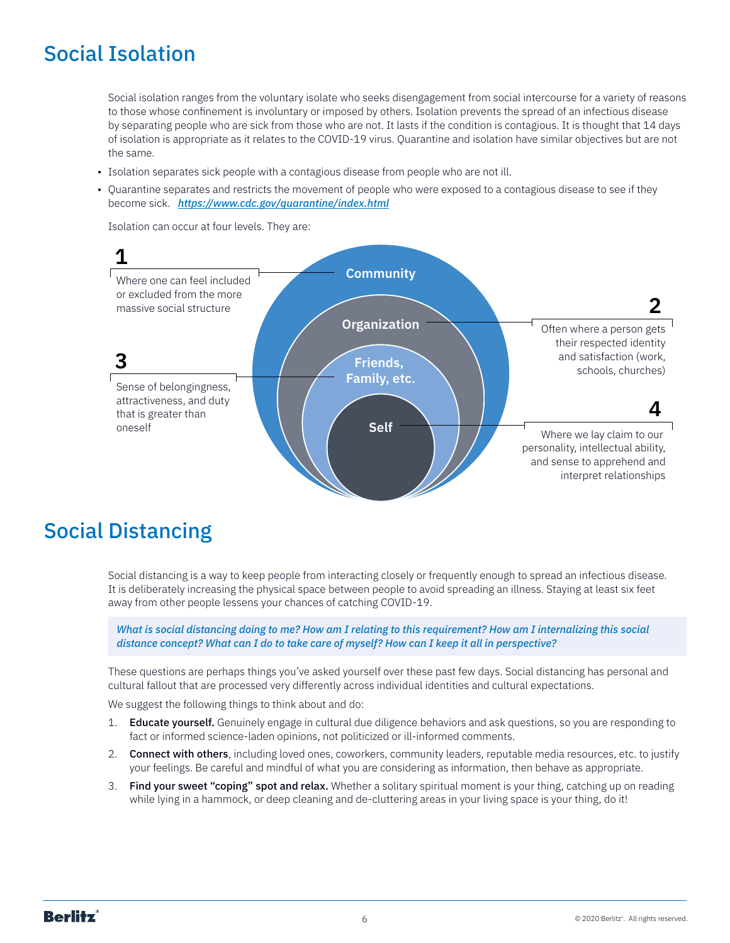# <span id="page-5-0"></span>Social Isolation

Social isolation ranges from the voluntary isolate who seeks disengagement from social intercourse for a variety of reasons to those whose confinement is involuntary or imposed by others. Isolation prevents the spread of an infectious disease by separating people who are sick from those who are not. It lasts if the condition is contagious. It is thought that 14 days of isolation is appropriate as it relates to the COVID-19 virus. Quarantine and isolation have similar objectives but are not the same.

- Isolation separates sick people with a contagious disease from people who are not ill.
- Quarantine separates and restricts the movement of people who were exposed to a contagious disease to see if they become sick. *<https://www.cdc.gov/quarantine/index.html>*

Isolation can occur at four levels. They are:



# Social Distancing

Social distancing is a way to keep people from interacting closely or frequently enough to spread an infectious disease. It is deliberately increasing the physical space between people to avoid spreading an illness. Staying at least six feet away from other people lessens your chances of catching COVID-19.

*What is social distancing doing to me? How am I relating to this requirement? How am I internalizing this social distance concept? What can I do to take care of myself? How can I keep it all in perspective?*

These questions are perhaps things you've asked yourself over these past few days. Social distancing has personal and cultural fallout that are processed very differently across individual identities and cultural expectations.

We suggest the following things to think about and do:

- 1. **Educate yourself.** Genuinely engage in cultural due diligence behaviors and ask questions, so you are responding to fact or informed science-laden opinions, not politicized or ill-informed comments.
- 2. Connect with others, including loved ones, coworkers, community leaders, reputable media resources, etc. to justify your feelings. Be careful and mindful of what you are considering as information, then behave as appropriate.
- 3. Find your sweet "coping" spot and relax. Whether a solitary spiritual moment is your thing, catching up on reading while lying in a hammock, or deep cleaning and de-cluttering areas in your living space is your thing, do it!